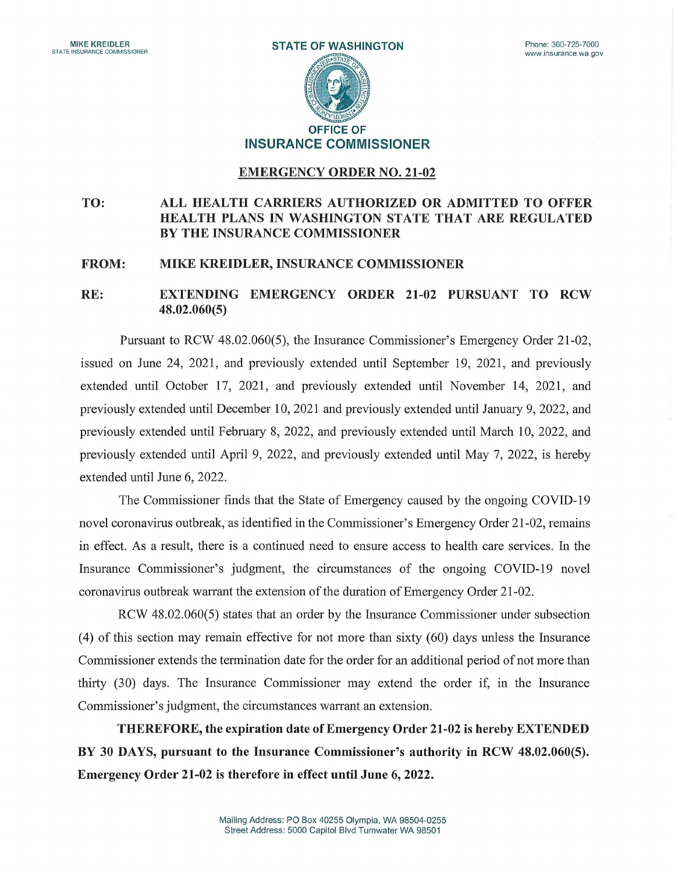## EMERGENCY ORDER N0. 21-02

## TO: ALL HEALTH CARRIERS AUTHORIZED OR ADMITTED TO OFFER HEALTH PLANS IN WASHINGTON STATE THAT ARE REGULATED BY THE INSURANCE COMMISSIONER

## FROM: MIKE KREIDLER, INSURANCE COMMISSIONER

RE: EXTENDING EMERGENCY ORDER 21-02 PURSUANT TO RCW 48.02.060(5)

Pursuant to RCW 48.02.060(5), the Insurance Commissioner's Emergency Order 21-02, issued on June 24, 2021, and previously extended until September 19, 2021, and previously extended until October 17, 2021, and previously extended until November 14, 2021, and previously extended until December 10, 2021 and previously extended until January 9, 2022, and previously extended until February 8, 2022, and previously extended until March 10, 2022, and previously extended until April 9, 2022, and previously extended until May 7, 2022, is hereby extended until June 6, 2022.

The Commissioner finds that the State of Emergency caused by the ongoing COVID-19 novel coronavirus outbreak, as identified in the Commissioner's Emergency Order 21-02, remains in effect. As a result, there is a continued need to ensure access to health care services. In the Insurance Commissioner's judgment, the circumstances of the ongoing COVID-19 novel coronavirus outbreak warrant the extension of the duration of Emergency Order 21-02.

RCW 48.02.060(5) states that an order by the Insurance Commissioner under subsection (4) of this section may remain effective for not more than sixty (60) days unless the Insurance Commissioner extends the termination date for the order for an additional period of not more than thirty (30) days. The Insurance Commissioner may extend the order if, in the Insurance Commissioner's judgment, the circumstances warrant an extension.

THEREFORE, the expiration date of Emergency Order 21-02 is hereby EXTENDED BY 30 DAYS, pursuant to the Insurance Commissioner's authority in RCW 48.02.060(5). Emergency Order 21-02 is therefore in effect until June 6, 2022.